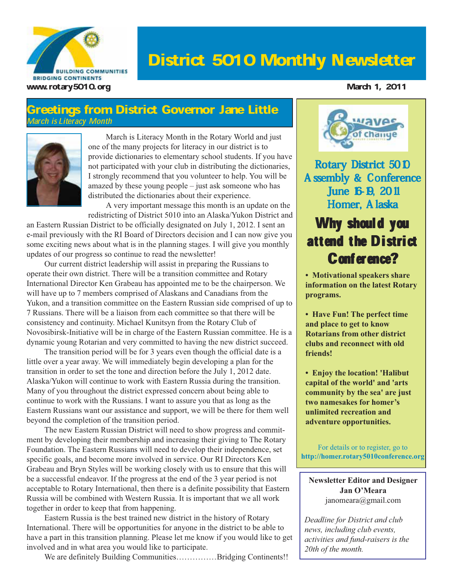

## District 5010 Monthly Newsletter

#### Greetings from District Governor Jane Little March is Literacy Month



March is Literacy Month in the Rotary World and just one of the many projects for literacy in our district is to provide dictionaries to elementary school students. If you have not participated with your club in distributing the dictionaries, I strongly recommend that you volunteer to help. You will be amazed by these young people – just ask someone who has distributed the dictionaries about their experience.

A very important message this month is an update on the redistricting of District 5010 into an Alaska/Yukon District and

an Eastern Russian District to be officially designated on July 1, 2012. I sent an e-mail previously with the RI Board of Directors decision and I can now give you some exciting news about what is in the planning stages. I will give you monthly updates of our progress so continue to read the newsletter!

Our current district leadership will assist in preparing the Russians to operate their own district. There will be a transition committee and Rotary International Director Ken Grabeau has appointed me to be the chairperson. We will have up to 7 members comprised of Alaskans and Canadians from the Yukon, and a transition committee on the Eastern Russian side comprised of up to 7 Russians. There will be a liaison from each committee so that there will be consistency and continuity. Michael Kunitsyn from the Rotary Club of Novosibirsk-Initiative will be in charge of the Eastern Russian committee. He is a dynamic young Rotarian and very committed to having the new district succeed.

The transition period will be for 3 years even though the official date is a little over a year away. We will immediately begin developing a plan for the transition in order to set the tone and direction before the July 1, 2012 date. Alaska/Yukon will continue to work with Eastern Russia during the transition. Many of you throughout the district expressed concern about being able to continue to work with the Russians. I want to assure you that as long as the Eastern Russians want our assistance and support, we will be there for them well beyond the completion of the transition period.

The new Eastern Russian District will need to show progress and commitment by developing their membership and increasing their giving to The Rotary Foundation. The Eastern Russians will need to develop their independence, set specific goals, and become more involved in service. Our RI Directors Ken Grabeau and Bryn Styles will be working closely with us to ensure that this will be a successful endeavor. If the progress at the end of the 3 year period is not acceptable to Rotary International, then there is a definite possibility that Eastern Russia will be combined with Western Russia. It is important that we all work together in order to keep that from happening.

Eastern Russia is the best trained new district in the history of Rotary International. There will be opportunities for anyone in the district to be able to have a part in this transition planning. Please let me know if you would like to get involved and in what area you would like to participate.

We are definitely Building Communities……………Bridging Continents!!



Rotary District 5010 Assembly & Conference June 16-19, 2011 Homer, Alaska

## Why should you attend the District Conference?

**• Motivational speakers share information on the latest Rotary programs.**

**• Have Fun! The perfect time and place to get to know Rotarians from other district clubs and reconnect with old friends!**

**• Enjoy the location! 'Halibut capital of the world' and 'arts community by the sea' are just two namesakes for homer's unlimited recreation and adventure opportunities.**

For details or to register, go to **http://homer.rotary5010conference.org**

**Newsletter Editor and Designer Jan O'Meara** janomeara@gmail.com

*Deadline for District and club news, including club events, activities and fund-raisers is the 20th of the month.*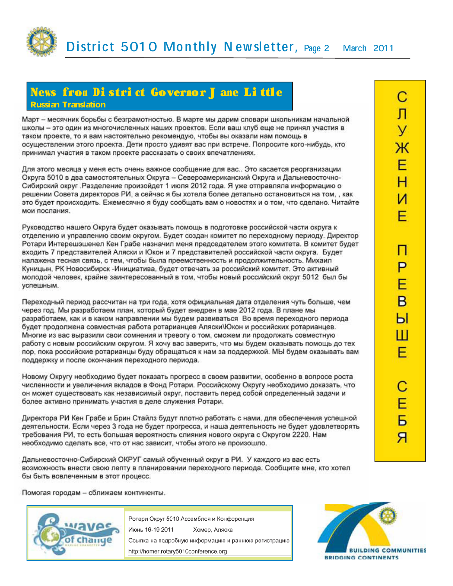

#### News from District Governor J ane Little Russian Translation

Март - месячник борьбы с безграмотностью. В марте мы дарим словари школьникам начальной школы - это один из многочисленных наших проектов. Если ваш клуб еще не принял участия в таком проекте, то я вам настоятельно рекомендую, чтобы вы оказали нам помощь в осуществлении этого проекта. Дети просто удивят вас при встрече. Попросите кого-нибудь, кто принимал участия в таком проекте рассказать о своих впечатлениях.

Для этого месяца у меня есть очень важное сообщение для вас.. Это касается реорганизации Округа 5010 в два самостоятельных Округа - Североамериканский Округа и Дальневосточно-Сибирский округ Разделение произойдет 1 июля 2012 года. Я уже отправляла информацию о решении Совета директоров РИ, а сейчас я бы хотела более детально остановиться на том., как это будет происходить. Ежемесячно я буду сообщать вам о новостях и о том, что сделано. Читайте мои послания.

Руководство нашего Округа будет оказывать помощь в подготовке российской части округа к отделению и управлению своим округом. Будет создан комитет по переходному периоду. Директор Ротари Интерешэшенел Кен Грабе назначил меня председателем этого комитета. В комитет будет входить 7 представителей Аляски и Юкон и 7 представителей российской части округа. Будет налажена тесная связь, с тем, чтобы была преемственность и продолжительность. Михаил Куницын, РК Новосибирск -Инициатива, будет отвечать за российский комитет. Это активный молодой человек, крайне заинтересованный в том, чтобы новый российский округ 5012 был бы успешным.

Переходный период рассчитан на три года, хотя официальная дата отделения чуть больше, чем через год. Мы разработаем план, который будет внедрен в мае 2012 года. В плане мы разработаем, как и в каком направлении мы будем развиваться Во время переходного периода будет продолжена совместная работа ротарианцев Аляски\Юкон и российских ротарианцев. Многие из вас выразили свои сомнения и тревогу о том, сможем ли продолжать совместную работу с новым российским округом. Я хочу вас заверить, что мы будем оказывать помощь до тех пор, пока российские ротарианцы буду обращаться к нам за поддержкой. МЫ будем оказывать вам поддержку и после окончания переходного периода.

Новому Округу необходимо будет показать прогресс в своем развитии, особенно в вопросе роста численности и увеличения вкладов в Фонд Ротари. Российскому Округу необходимо доказать, что он может существовать как независимый округ, поставить перед собой определенный задачи и более активно принимать участия в деле служения Ротари.

Директора РИ Кен Грабе и Брин Стайлз будут плотно работать с нами, для обеспечения успешной деятельности. Если через 3 года не будет прогресса, и наша деятельность не будет удовлетворять требования РИ, то есть большая вероятность слияния нового округа с Округом 2220. Нам необходимо сделать все, что от нас зависит, чтобы этого не произошло.

Дальневосточно-Сибирский ОКРУГ самый обученный округ в РИ. У каждого из вас есть возможность внести свою лепту в планировании переходного периода. Сообщите мне, кто хотел бы быть вовлеченным в этот процесс.

Помогая городам - сближаем континенты.



Ротари Округ 5010 Ассамблея и Конференция Июнь 16-19 2011 Хомер, Аляска Ссылка на подробную информацию и раннюю регистрацию http://homer.rotary5010conference.org

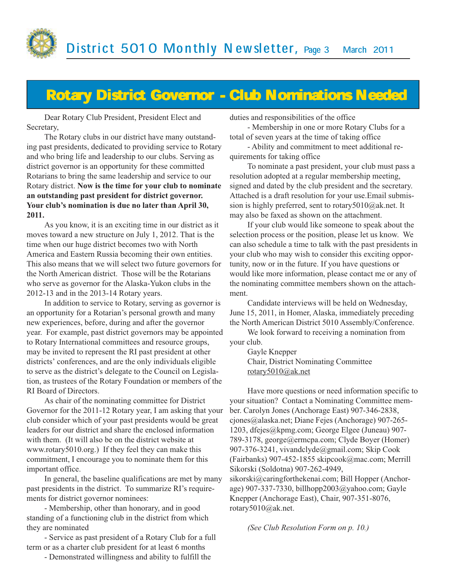

## Rotary District Governor - Club Nominations Needed

Dear Rotary Club President, President Elect and Secretary,

The Rotary clubs in our district have many outstanding past presidents, dedicated to providing service to Rotary and who bring life and leadership to our clubs. Serving as district governor is an opportunity for these committed Rotarians to bring the same leadership and service to our Rotary district. **Now is the time for your club to nominate an outstanding past president for district governor. Your club's nomination is due no later than April 30, 2011.**

As you know, it is an exciting time in our district as it moves toward a new structure on July 1, 2012. That is the time when our huge district becomes two with North America and Eastern Russia becoming their own entities. This also means that we will select two future governors for the North American district. Those will be the Rotarians who serve as governor for the Alaska-Yukon clubs in the 2012-13 and in the 2013-14 Rotary years.

In addition to service to Rotary, serving as governor is an opportunity for a Rotarian's personal growth and many new experiences, before, during and after the governor year. For example, past district governors may be appointed to Rotary International committees and resource groups, may be invited to represent the RI past president at other districts' conferences, and are the only individuals eligible to serve as the district's delegate to the Council on Legislation, as trustees of the Rotary Foundation or members of the RI Board of Directors.

As chair of the nominating committee for District Governor for the 2011-12 Rotary year, I am asking that your club consider which of your past presidents would be great leaders for our district and share the enclosed information with them. (It will also be on the district website at www.rotary5010.org.) If they feel they can make this commitment, I encourage you to nominate them for this important office.

In general, the baseline qualifications are met by many past presidents in the district. To summarize RI's requirements for district governor nominees:

- Membership, other than honorary, and in good standing of a functioning club in the district from which they are nominated

- Service as past president of a Rotary Club for a full term or as a charter club president for at least 6 months

- Demonstrated willingness and ability to fulfill the

duties and responsibilities of the office

- Membership in one or more Rotary Clubs for a total of seven years at the time of taking office

- Ability and commitment to meet additional requirements for taking office

To nominate a past president, your club must pass a resolution adopted at a regular membership meeting, signed and dated by the club president and the secretary. Attached is a draft resolution for your use.Email submission is highly preferred, sent to rotary5010@ak.net. It may also be faxed as shown on the attachment.

If your club would like someone to speak about the selection process or the position, please let us know. We can also schedule a time to talk with the past presidents in your club who may wish to consider this exciting opportunity, now or in the future. If you have questions or would like more information, please contact me or any of the nominating committee members shown on the attachment.

Candidate interviews will be held on Wednesday, June 15, 2011, in Homer, Alaska, immediately preceding the North American District 5010 Assembly/Conference.

We look forward to receiving a nomination from your club.

Gayle Knepper Chair, District Nominating Committee rotary5010@ak.net

Have more questions or need information specific to your situation? Contact a Nominating Committee member. Carolyn Jones (Anchorage East) 907-346-2838, cjones@alaska.net; Diane Fejes (Anchorage) 907-265- 1203, dfejes@kpmg.com; George Elgee (Juneau) 907- 789-3178, george@ermcpa.com; Clyde Boyer (Homer) 907-376-3241, vivandclyde@gmail.com; Skip Cook (Fairbanks) 907-452-1855 skipcook@mac.com; Merrill Sikorski (Soldotna) 907-262-4949,

sikorski@caringforthekenai.com; Bill Hopper (Anchorage) 907-337-7330, billhopp2003@yahoo.com; Gayle Knepper (Anchorage East), Chair, 907-351-8076, rotary5010@ak.net.

*(See Club Resolution Form on p. 10.)*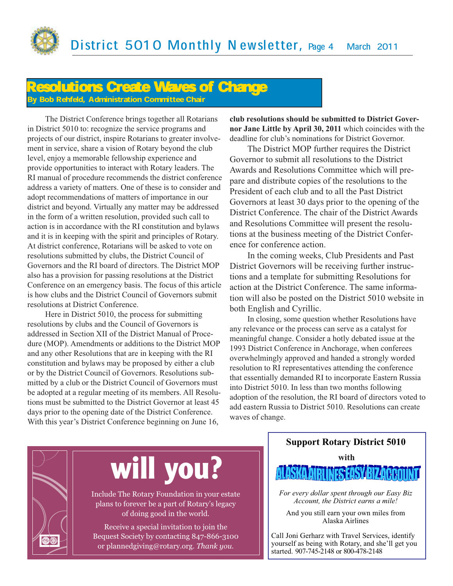

#### Resolutions Create Waves of Change **Bob Rehfeld, Administration Committee Chair**

The District Conference brings together all Rotarians in District 5010 to: recognize the service programs and projects of our district, inspire Rotarians to greater involvement in service, share a vision of Rotary beyond the club level, enjoy a memorable fellowship experience and provide opportunities to interact with Rotary leaders. The RI manual of procedure recommends the district conference address a variety of matters. One of these is to consider and adopt recommendations of matters of importance in our district and beyond. Virtually any matter may be addressed in the form of a written resolution, provided such call to action is in accordance with the RI constitution and bylaws and it is in keeping with the spirit and principles of Rotary. At district conference, Rotarians will be asked to vote on resolutions submitted by clubs, the District Council of Governors and the RI board of directors. The District MOP also has a provision for passing resolutions at the District Conference on an emergency basis. The focus of this article is how clubs and the District Council of Governors submit resolutions at District Conference.

Here in District 5010, the process for submitting resolutions by clubs and the Council of Governors is addressed in Section XII of the District Manual of Procedure (MOP). Amendments or additions to the District MOP and any other Resolutions that are in keeping with the RI constitution and bylaws may be proposed by either a club or by the District Council of Governors. Resolutions submitted by a club or the District Council of Governors must be adopted at a regular meeting of its members. All Resolutions must be submitted to the District Governor at least 45 days prior to the opening date of the District Conference. With this year's District Conference beginning on June 16,

**club resolutions should be submitted to District Governor Jane Little by April 30, 2011** which coincides with the deadline for club's nominations for District Governor.

The District MOP further requires the District Governor to submit all resolutions to the District Awards and Resolutions Committee which will prepare and distribute copies of the resolutions to the President of each club and to all the Past District Governors at least 30 days prior to the opening of the District Conference. The chair of the District Awards and Resolutions Committee will present the resolutions at the business meeting of the District Conference for conference action.

In the coming weeks, Club Presidents and Past District Governors will be receiving further instructions and a template for submitting Resolutions for action at the District Conference. The same information will also be posted on the District 5010 website in both English and Cyrillic.

In closing, some question whether Resolutions have any relevance or the process can serve as a catalyst for meaningful change. Consider a hotly debated issue at the 1993 District Conference in Anchorage, when conferees overwhelmingly approved and handed a strongly worded resolution to RI representatives attending the conference that essentially demanded RI to incorporate Eastern Russia into District 5010. In less than two months following adoption of the resolution, the RI board of directors voted to add eastern Russia to District 5010. Resolutions can create waves of change.



# **will you?**

Include The Rotary Foundation in your estate plans to forever be a part of Rotary's legacy of doing good in the world.

Receive a special invitation to join the Bequest Society by contacting 847-866-3100 or plannedgiving@rotary.org. *Thank you.* 

## **Support Rotary District 5010 with** ALASKA AIRLINES EAS

*For every dollar spent through our Easy Biz Account, the District earns a mile!*

And you still earn your own miles from Alaska Airlines

Call Joni Gerharz with Travel Services, identify yourself as being with Rotary, and she'll get you started. 907-745-2148 or 800-478-2148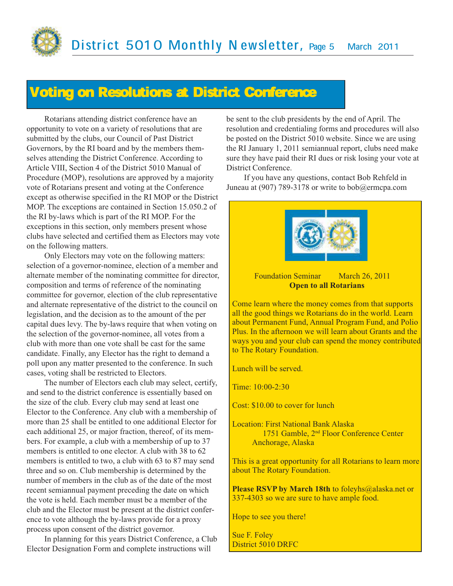## Voting on Resolutions at District Conference

Rotarians attending district conference have an opportunity to vote on a variety of resolutions that are submitted by the clubs, our Council of Past District Governors, by the RI board and by the members themselves attending the District Conference. According to Article VIII, Section 4 of the District 5010 Manual of Procedure (MOP), resolutions are approved by a majority vote of Rotarians present and voting at the Conference except as otherwise specified in the RI MOP or the District MOP. The exceptions are contained in Section 15.050.2 of the RI by-laws which is part of the RI MOP. For the exceptions in this section, only members present whose clubs have selected and certified them as Electors may vote on the following matters.

Only Electors may vote on the following matters: selection of a governor-nominee, election of a member and alternate member of the nominating committee for director, composition and terms of reference of the nominating committee for governor, election of the club representative and alternate representative of the district to the council on legislation, and the decision as to the amount of the per capital dues levy. The by-laws require that when voting on the selection of the governor-nominee, all votes from a club with more than one vote shall be cast for the same candidate. Finally, any Elector has the right to demand a poll upon any matter presented to the conference. In such cases, voting shall be restricted to Electors.

The number of Electors each club may select, certify, and send to the district conference is essentially based on the size of the club. Every club may send at least one Elector to the Conference. Any club with a membership of more than 25 shall be entitled to one additional Elector for each additional 25, or major fraction, thereof, of its members. For example, a club with a membership of up to 37 members is entitled to one elector. A club with 38 to 62 members is entitled to two, a club with 63 to 87 may send three and so on. Club membership is determined by the number of members in the club as of the date of the most recent semiannual payment preceding the date on which the vote is held. Each member must be a member of the club and the Elector must be present at the district conference to vote although the by-laws provide for a proxy process upon consent of the district governor.

In planning for this years District Conference, a Club Elector Designation Form and complete instructions will

be sent to the club presidents by the end of April. The resolution and credentialing forms and procedures will also be posted on the District 5010 website. Since we are using the RI January 1, 2011 semiannual report, clubs need make sure they have paid their RI dues or risk losing your vote at District Conference.

If you have any questions, contact Bob Rehfeld in Juneau at (907) 789-3178 or write to bob@ermcpa.com



#### Foundation Seminar March 26, 2011 **Open to all Rotarians**

Come learn where the money comes from that supports all the good things we Rotarians do in the world. Learn about Permanent Fund, Annual Program Fund, and Polio Plus. In the afternoon we will learn about Grants and the ways you and your club can spend the money contributed to The Rotary Foundation.

Lunch will be served.

Time: 10:00-2:30

Cost: \$10.00 to cover for lunch

Location: First National Bank Alaska 1751 Gamble, 2nd Floor Conference Center Anchorage, Alaska

This is a great opportunity for all Rotarians to learn more about The Rotary Foundation.

**Please RSVP by March 18th** to foleyhs@alaska.net or 337-4303 so we are sure to have ample food.

Hope to see you there!

Sue F. Foley District 5010 DRFC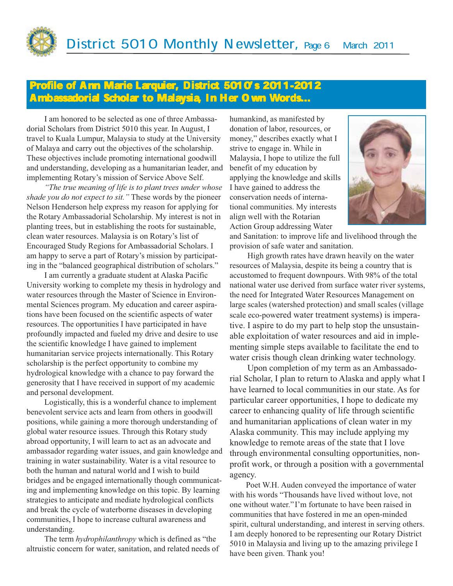

#### Profile of Ann Marie Larquier, District 5010's 2011-2012 Ambassadorial Scholar to Malaysia, In Her Own Words...

I am honored to be selected as one of three Ambassadorial Scholars from District 5010 this year. In August, I travel to Kuala Lumpur, Malaysia to study at the University of Malaya and carry out the objectives of the scholarship. These objectives include promoting international goodwill and understanding, developing as a humanitarian leader, and implementing Rotary's mission of Service Above Self.

*"The true meaning of life is to plant trees under whose shade you do not expect to sit."* These words by the pioneer Nelson Henderson help express my reason for applying for the Rotary Ambassadorial Scholarship. My interest is not in planting trees, but in establishing the roots for sustainable, clean water resources. Malaysia is on Rotary's list of Encouraged Study Regions for Ambassadorial Scholars. I am happy to serve a part of Rotary's mission by participating in the "balanced geographical distribution of scholars."

I am currently a graduate student at Alaska Pacific University working to complete my thesis in hydrology and water resources through the Master of Science in Environmental Sciences program. My education and career aspirations have been focused on the scientific aspects of water resources. The opportunities I have participated in have profoundly impacted and fueled my drive and desire to use the scientific knowledge I have gained to implement humanitarian service projects internationally. This Rotary scholarship is the perfect opportunity to combine my hydrological knowledge with a chance to pay forward the generosity that I have received in support of my academic and personal development.

Logistically, this is a wonderful chance to implement benevolent service acts and learn from others in goodwill positions, while gaining a more thorough understanding of global water resource issues. Through this Rotary study abroad opportunity, I will learn to act as an advocate and ambassador regarding water issues, and gain knowledge and training in water sustainability. Water is a vital resource to both the human and natural world and I wish to build bridges and be engaged internationally though communicating and implementing knowledge on this topic. By learning strategies to anticipate and mediate hydrological conflicts and break the cycle of waterborne diseases in developing communities, I hope to increase cultural awareness and understanding.

The term *hydrophilanthropy* which is defined as "the altruistic concern for water, sanitation, and related needs of

humankind, as manifested by donation of labor, resources, or money," describes exactly what I strive to engage in. While in Malaysia, I hope to utilize the full benefit of my education by applying the knowledge and skills I have gained to address the conservation needs of international communities. My interests align well with the Rotarian Action Group addressing Water



and Sanitation: to improve life and livelihood through the provision of safe water and sanitation.

High growth rates have drawn heavily on the water resources of Malaysia, despite its being a country that is accustomed to frequent downpours. With 98% of the total national water use derived from surface water river systems, the need for Integrated Water Resources Management on large scales (watershed protection) and small scales (village scale eco-powered water treatment systems) is imperative. I aspire to do my part to help stop the unsustainable exploitation of water resources and aid in implementing simple steps available to facilitate the end to water crisis though clean drinking water technology.

Upon completion of my term as an Ambassadorial Scholar, I plan to return to Alaska and apply what I have learned to local communities in our state. As for particular career opportunities, I hope to dedicate my career to enhancing quality of life through scientific and humanitarian applications of clean water in my Alaska community. This may include applying my knowledge to remote areas of the state that I love through environmental consulting opportunities, nonprofit work, or through a position with a governmental agency.

Poet W.H. Auden conveyed the importance of water with his words "Thousands have lived without love, not one without water."I'm fortunate to have been raised in communities that have fostered in me an open-minded spirit, cultural understanding, and interest in serving others. I am deeply honored to be representing our Rotary District 5010 in Malaysia and living up to the amazing privilege I have been given. Thank you!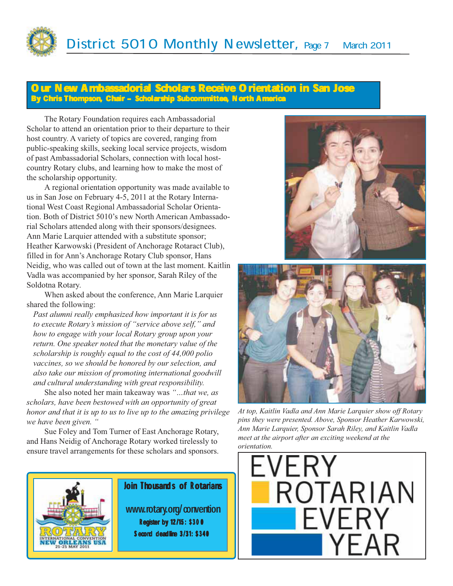

#### New Ambassadorial Scholars Receive Orientation in San Jose By Chris Thompson, Chair - Scholarship Subcommittee, North America

The Rotary Foundation requires each Ambassadorial Scholar to attend an orientation prior to their departure to their host country. A variety of topics are covered, ranging from public-speaking skills, seeking local service projects, wisdom of past Ambassadorial Scholars, connection with local hostcountry Rotary clubs, and learning how to make the most of the scholarship opportunity.

A regional orientation opportunity was made available to us in San Jose on February 4-5, 2011 at the Rotary International West Coast Regional Ambassadorial Scholar Orientation. Both of District 5010's new North American Ambassadorial Scholars attended along with their sponsors/designees. Ann Marie Larquier attended with a substitute sponsor; Heather Karwowski (President of Anchorage Rotaract Club), filled in for Ann's Anchorage Rotary Club sponsor, Hans Neidig, who was called out of town at the last moment. Kaitlin Vadla was accompanied by her sponsor, Sarah Riley of the Soldotna Rotary.

When asked about the conference, Ann Marie Larquier shared the following:

*Past alumni really emphasized how important it is for us to execute Rotary's mission of "service above self," and how to engage with your local Rotary group upon your return. One speaker noted that the monetary value of the scholarship is roughly equal to the cost of 44,000 polio vaccines, so we should be honored by our selection, and also take our mission of promoting international goodwill and cultural understanding with great responsibility.*

She also noted her main takeaway was *"…that we, as scholars, have been bestowed with an opportunity of great honor and that it is up to us to live up to the amazing privilege we have been given. "*

Sue Foley and Tom Turner of East Anchorage Rotary, and Hans Neidig of Anchorage Rotary worked tirelessly to ensure travel arrangements for these scholars and sponsors.



#### Join Thousands of Rotarians

www.rotary.org/convention Register by 12/15: \$300 Second deadline 3/31: \$340





*At top, Kaitlin Vadla and Ann Marie Larquier show off Rotary pins they were presented. Above, Sponsor Heather Karwowski, Ann Marie Larquier, Sponsor Sarah Riley, and Kaitlin Vadla meet at the airport after an exciting weekend at the orientation.*

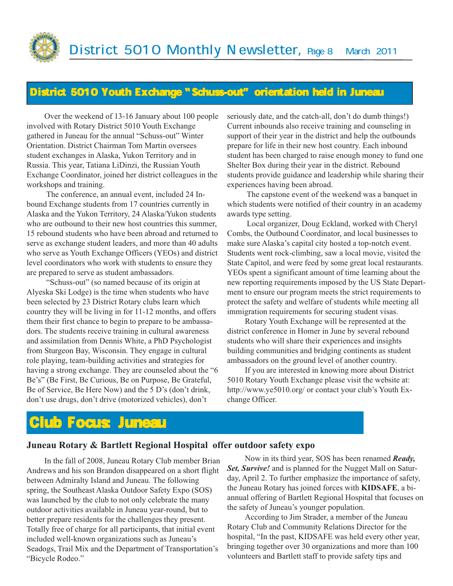### District 5010 Youth Exchange "Schuss-out" orientation held in Juneau

Over the weekend of 13-16 January about 100 people involved with Rotary District 5010 Youth Exchange gathered in Juneau for the annual "Schuss-out" Winter Orientation. District Chairman Tom Martin oversees student exchanges in Alaska, Yukon Territory and in Russia. This year, Tatiana LiDinzi, the Russian Youth Exchange Coordinator, joined her district colleagues in the workshops and training.

 The conference, an annual event, included 24 Inbound Exchange students from 17 countries currently in Alaska and the Yukon Territory, 24 Alaska/Yukon students who are outbound to their new host countries this summer, 15 rebound students who have been abroad and returned to serve as exchange student leaders, and more than 40 adults who serve as Youth Exchange Officers (YEOs) and district level coordinators who work with students to ensure they are prepared to serve as student ambassadors.

 "Schuss-out" (so named because of its origin at Alyeska Ski Lodge) is the time when students who have been selected by 23 District Rotary clubs learn which country they will be living in for 11-12 months, and offers them their first chance to begin to prepare to be ambassadors. The students receive training in cultural awareness and assimilation from Dennis White, a PhD Psychologist from Sturgeon Bay, Wisconsin. They engage in cultural role playing, team-building activities and strategies for having a strong exchange. They are counseled about the "6 Be's" (Be First, Be Curious, Be on Purpose, Be Grateful, Be of Service, Be Here Now) and the 5 D's (don't drink, don't use drugs, don't drive (motorized vehicles), don't

seriously date, and the catch-all, don't do dumb things!) Current inbounds also receive training and counseling in support of their year in the district and help the outbounds prepare for life in their new host country. Each inbound student has been charged to raise enough money to fund one Shelter Box during their year in the district. Rebound students provide guidance and leadership while sharing their experiences having been abroad.

 The capstone event of the weekend was a banquet in which students were notified of their country in an academy awards type setting.

 Local organizer, Doug Eckland, worked with Cheryl Combs, the Outbound Coordinator, and local businesses to make sure Alaska's capital city hosted a top-notch event. Students went rock-climbing, saw a local movie, visited the State Capitol, and were feed by some great local restaurants. YEOs spent a significant amount of time learning about the new reporting requirements imposed by the US State Department to ensure our program meets the strict requirements to protect the safety and welfare of students while meeting all immigration requirements for securing student visas.

Rotary Youth Exchange will be represented at the district conference in Homer in June by several rebound students who will share their experiences and insights building communities and bridging continents as student ambassadors on the ground level of another country.

If you are interested in knowing more about District 5010 Rotary Youth Exchange please visit the website at: http://www.ye5010.org/ or contact your club's Youth Exchange Officer.

## Club Focus: Juneau

#### **Juneau Rotary & Bartlett Regional Hospital offer outdoor safety expo**

In the fall of 2008, Juneau Rotary Club member Brian Andrews and his son Brandon disappeared on a short flight between Admiralty Island and Juneau. The following spring, the Southeast Alaska Outdoor Safety Expo (SOS) was launched by the club to not only celebrate the many outdoor activities available in Juneau year-round, but to better prepare residents for the challenges they present. Totally free of charge for all participants, that initial event included well-known organizations such as Juneau's Seadogs, Trail Mix and the Department of Transportation's "Bicycle Rodeo."

Now in its third year, SOS has been renamed *Ready, Set, Survive!* and is planned for the Nugget Mall on Saturday, April 2. To further emphasize the importance of safety, the Juneau Rotary has joined forces with **KIDSAFE**, a biannual offering of Bartlett Regional Hospital that focuses on the safety of Juneau's younger population.

According to Jim Strader, a member of the Juneau Rotary Club and Community Relations Director for the hospital, "In the past, KIDSAFE was held every other year, bringing together over 30 organizations and more than 100 volunteers and Bartlett staff to provide safety tips and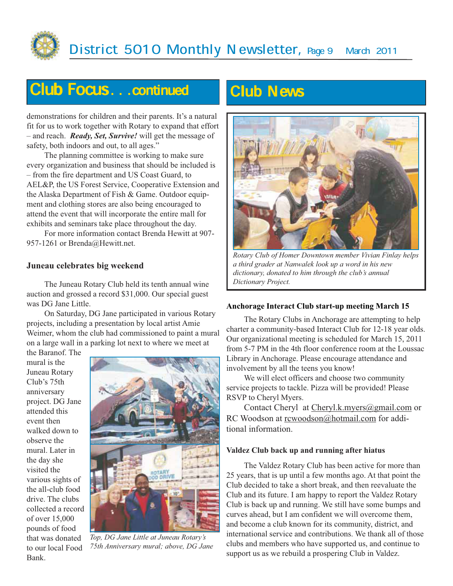

## Club Focus...continued Club News

demonstrations for children and their parents. It's a natural fit for us to work together with Rotary to expand that effort – and reach. *Ready, Set, Survive!* will get the message of safety, both indoors and out, to all ages."

The planning committee is working to make sure every organization and business that should be included is – from the fire department and US Coast Guard, to AEL&P, the US Forest Service, Cooperative Extension and the Alaska Department of Fish & Game. Outdoor equipment and clothing stores are also being encouraged to attend the event that will incorporate the entire mall for exhibits and seminars take place throughout the day.

For more information contact Brenda Hewitt at 907- 957-1261 or Brenda@Hewitt.net.

#### **Juneau celebrates big weekend**

The Juneau Rotary Club held its tenth annual wine auction and grossed a record \$31,000. Our special guest was DG Jane Little.

On Saturday, DG Jane participated in various Rotary projects, including a presentation by local artist Amie Weimer, whom the club had commissioned to paint a mural on a large wall in a parking lot next to where we meet at

the Baranof. The mural is the Juneau Rotary Club's 75th anniversary project. DG Jane attended this event then walked down to observe the mural. Later in the day she visited the various sights of the all-club food drive. The clubs collected a record of over 15,000 pounds of food that was donated to our local Food Bank.



*Top, DG Jane Little at Juneau Rotary's 75th Anniversary mural; above, DG Jane*



*Rotary Club of Homer Downtown member Vivian Finlay helps a third grader at Nanwalek look up a word in his new dictionary, donated to him through the club's annual Dictionary Project.*

#### **Anchorage Interact Club start-up meeting March 15**

The Rotary Clubs in Anchorage are attempting to help charter a community-based Interact Club for 12-18 year olds. Our organizational meeting is scheduled for March 15, 2011 from 5-7 PM in the 4th floor conference room at the Loussac Library in Anchorage. Please encourage attendance and involvement by all the teens you know!

We will elect officers and choose two community service projects to tackle. Pizza will be provided! Please RSVP to Cheryl Myers.

Contact Cheryl at Cheryl.k.myers@gmail.com or RC Woodson at rcwoodson@hotmail.com for additional information.

#### **Valdez Club back up and running after hiatus**

The Valdez Rotary Club has been active for more than 25 years, that is up until a few months ago. At that point the Club decided to take a short break, and then reevaluate the Club and its future. I am happy to report the Valdez Rotary Club is back up and running. We still have some bumps and curves ahead, but I am confident we will overcome them, and become a club known for its community, district, and international service and contributions. We thank all of those clubs and members who have supported us, and continue to support us as we rebuild a prospering Club in Valdez.